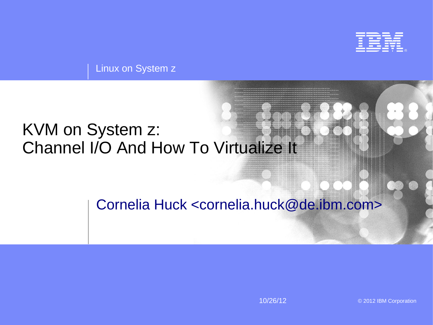

Linux on System z

### KVM on System z: Channel I/O And How To Virtualize It

#### Cornelia Huck <cornelia.huck@de.ibm.com>

10/26/12 © 2012 IBM Corporation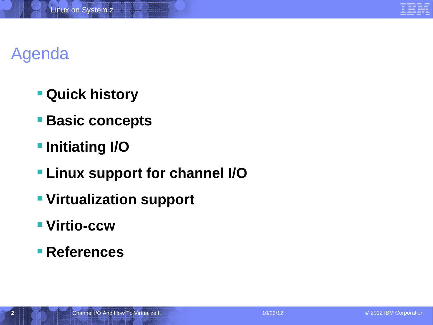# Agenda

- **Quick history**
- **Basic concepts**
- $\blacksquare$  Initiating I/O
- **Linux support for channel I/O**
- **Virtualization support**
- **Virtio-ccw**
- **References**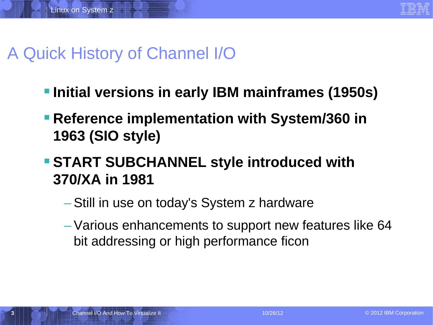

## A Quick History of Channel I/O

- **Initial versions in early IBM mainframes (1950s)**
- **Reference implementation with System/360 in 1963 (SIO style)**
- **START SUBCHANNEL style introduced with 370/XA in 1981**
	- Still in use on today's System z hardware
	- Various enhancements to support new features like 64 bit addressing or high performance ficon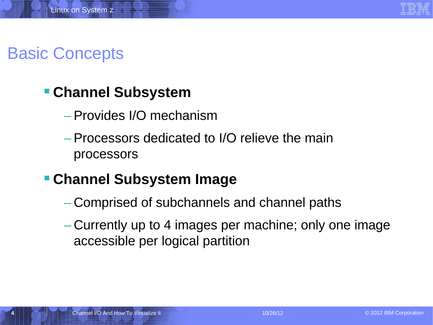## Basic Concepts

#### **Channel Subsystem**

- Provides I/O mechanism
- Processors dedicated to I/O relieve the main processors

#### **Channel Subsystem Image**

- Comprised of subchannels and channel paths
- Currently up to 4 images per machine; only one image accessible per logical partition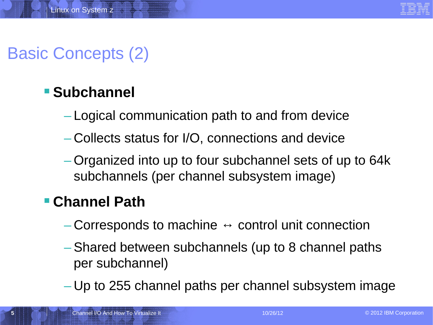# Basic Concepts (2)

### **Subchannel**

- Logical communication path to and from device
- Collects status for I/O, connections and device
- Organized into up to four subchannel sets of up to 64k subchannels (per channel subsystem image)

#### **Channel Path**

- $-$  Corresponds to machine  $\leftrightarrow$  control unit connection
- Shared between subchannels (up to 8 channel paths per subchannel)
- Up to 255 channel paths per channel subsystem image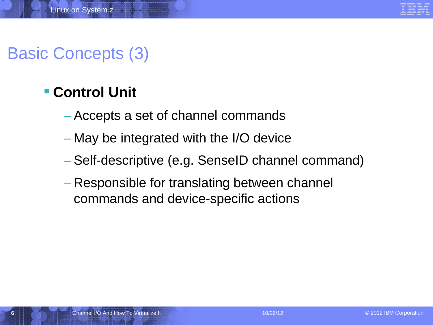# Basic Concepts (3)

### **Control Unit**

- Accepts a set of channel commands
- May be integrated with the I/O device
- Self-descriptive (e.g. SenseID channel command)
- Responsible for translating between channel commands and device-specific actions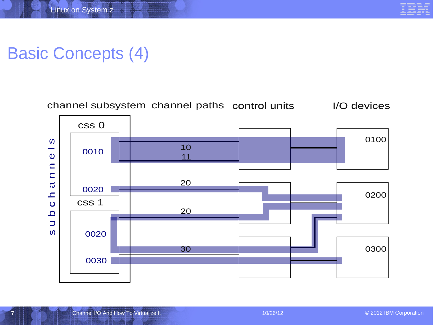# Basic Concepts (4)



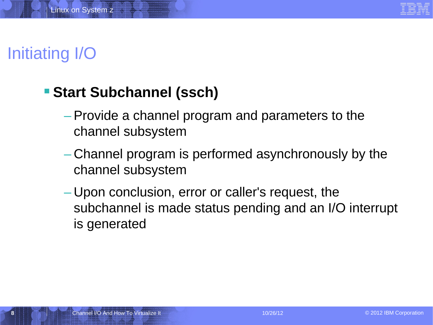

# Initiating I/O

#### **Start Subchannel (ssch)**

- Provide a channel program and parameters to the channel subsystem
- Channel program is performed asynchronously by the channel subsystem
- Upon conclusion, error or caller's request, the subchannel is made status pending and an I/O interrupt is generated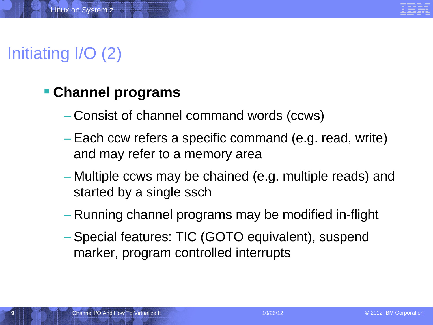# Initiating I/O (2)

#### **Channel programs**

- Consist of channel command words (ccws)
- Each ccw refers a specific command (e.g. read, write) and may refer to a memory area
- Multiple ccws may be chained (e.g. multiple reads) and started by a single ssch
- Running channel programs may be modified in-flight
- Special features: TIC (GOTO equivalent), suspend marker, program controlled interrupts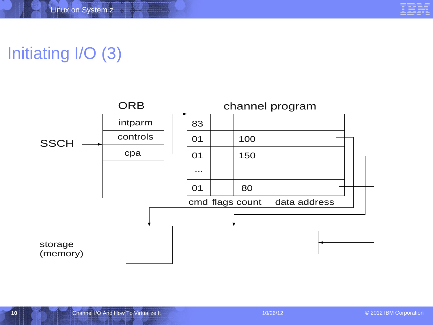# Initiating I/O (3)

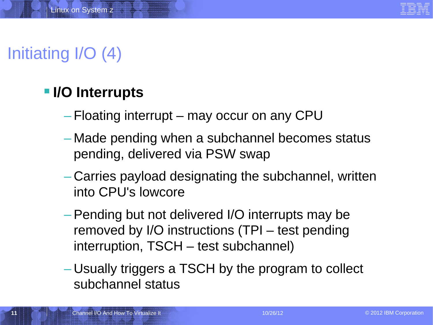# Initiating I/O (4)

### **II/O Interrupts**

- Floating interrupt may occur on any CPU
- Made pending when a subchannel becomes status pending, delivered via PSW swap
- Carries payload designating the subchannel, written into CPU's lowcore
- Pending but not delivered I/O interrupts may be removed by I/O instructions (TPI – test pending interruption, TSCH – test subchannel)
- Usually triggers a TSCH by the program to collect subchannel status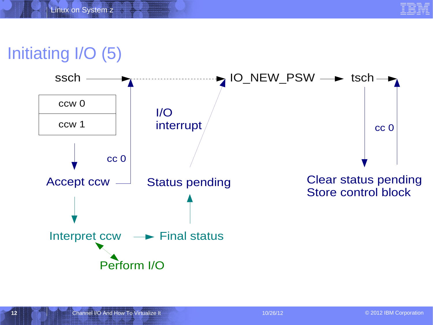

# Initiating I/O (5)

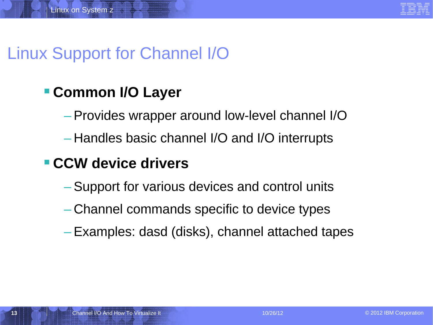## Linux Support for Channel I/O

### **Common I/O Layer**

- Provides wrapper around low-level channel I/O
- Handles basic channel I/O and I/O interrupts

#### **CCW device drivers**

- Support for various devices and control units
- Channel commands specific to device types
- Examples: dasd (disks), channel attached tapes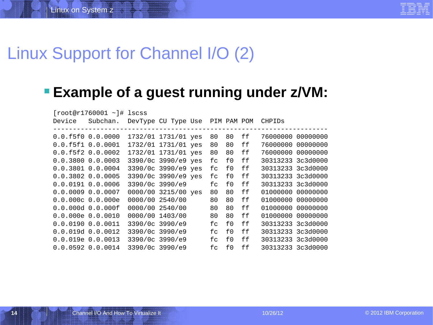### Linux Support for Channel I/O (2)

#### **Example of a guest running under z/VM:**

|                       | $[root@r1760001 - ]# lscss]$ |                 |                                 |    |    |    |                   |  |
|-----------------------|------------------------------|-----------------|---------------------------------|----|----|----|-------------------|--|
| Device                | Subchan.                     |                 | DevType CU Type Use PIM PAM POM |    |    |    | <b>CHPIDS</b>     |  |
|                       |                              |                 |                                 |    |    |    |                   |  |
| 0.0.f5f0 0.0.0000     |                              |                 | 1732/01 1731/01 yes             | 80 | 80 | ff | 76000000 00000000 |  |
| 0.0.f5f1 0.0.0001     |                              |                 | 1732/01 1731/01 yes             | 80 | 80 | ff | 76000000 00000000 |  |
| 0.0.f5f2 0.0.0002     |                              |                 | 1732/01 1731/01 yes             | 80 | 80 | ff | 76000000 00000000 |  |
| 0.0.3800 0.0.0003     |                              |                 | 3390/0c 3990/e9 yes             | fc | f0 | ff | 30313233 3c3d0000 |  |
| $0.0.3801$ $0.0.0004$ |                              |                 | 3390/0c 3990/e9 yes             | fc | f0 | ff | 30313233 3c3d0000 |  |
| $0.0.3802$ $0.0.0005$ |                              |                 | 3390/0c 3990/e9 yes             | fc | f0 | ff | 30313233 3c3d0000 |  |
| 0.0.0191 0.0.0006     |                              | 3390/0c 3990/e9 |                                 | fc | f0 | ff | 30313233 3c3d0000 |  |
| 0.0.00090.00007       |                              |                 | 0000/00 3215/00 yes             | 80 | 80 | ff | 01000000 00000000 |  |
| $0.0.000c$ 0.0.000e   |                              | 0000/00 2540/00 |                                 | 80 | 80 | ff | 01000000 00000000 |  |
|                       |                              |                 | 0000/00 2540/00                 | 80 | 80 | ff | 01000000 00000000 |  |
| $0.0.000e$ 0.0.0010   |                              |                 | 0000/00 1403/00                 | 80 | 80 | ff | 01000000 00000000 |  |
| 0.0.0190 0.0.0011     |                              |                 | 3390/0c 3990/e9                 | fc | f0 | ff | 30313233 3c3d0000 |  |
| 0.0.019d 0.0.0012     |                              |                 | 3390/0c 3990/e9                 | fc | f0 | ff | 30313233 3c3d0000 |  |
|                       | 0.0.019e 0.0.0013            | 3390/0c 3990/e9 |                                 | fc | f0 | ff | 30313233 3c3d0000 |  |
| 0.0.0592 0.00014      |                              | 3390/0c 3990/e9 |                                 | fc | f0 | ff | 30313233 3c3d0000 |  |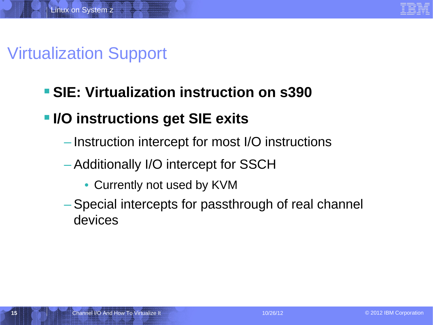

# Virtualization Support

### **SIE: Virtualization instruction on s390**

### **IIO instructions get SIE exits**

- Instruction intercept for most I/O instructions
- Additionally I/O intercept for SSCH
	- Currently not used by KVM
- Special intercepts for passthrough of real channel devices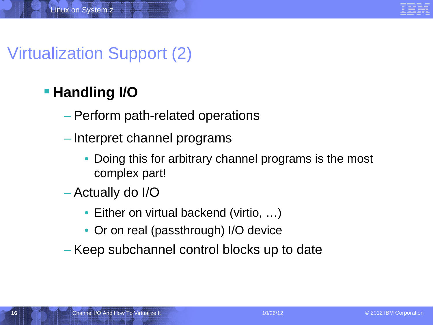# Virtualization Support (2)

### **Handling I/O**

- Perform path-related operations
- Interpret channel programs
	- Doing this for arbitrary channel programs is the most complex part!
- Actually do I/O
	- Either on virtual backend (virtio, ...)
	- Or on real (passthrough) I/O device
- Keep subchannel control blocks up to date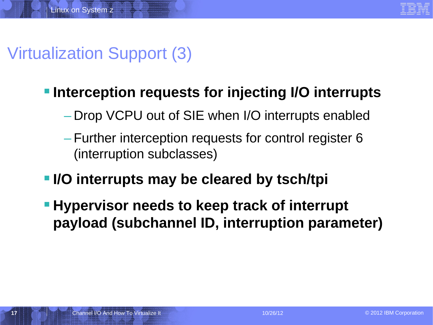

# Virtualization Support (3)

#### **Interception requests for injecting I/O interrupts**

- Drop VCPU out of SIE when I/O interrupts enabled
- Further interception requests for control register 6 (interruption subclasses)
- **I/O interrupts may be cleared by tsch/tpi**
- **Hypervisor needs to keep track of interrupt payload (subchannel ID, interruption parameter)**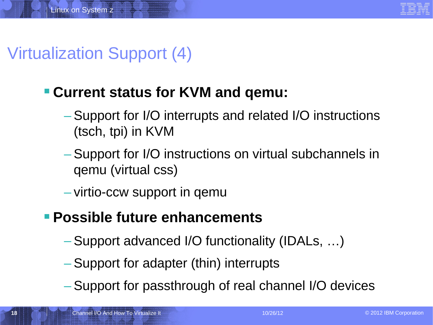# Virtualization Support (4)

#### **Current status for KVM and qemu:**

- Support for I/O interrupts and related I/O instructions (tsch, tpi) in KVM
- Support for I/O instructions on virtual subchannels in qemu (virtual css)
- virtio-ccw support in qemu

#### **Possible future enhancements**

- Support advanced I/O functionality (IDALs, …)
- Support for adapter (thin) interrupts
- Support for passthrough of real channel I/O devices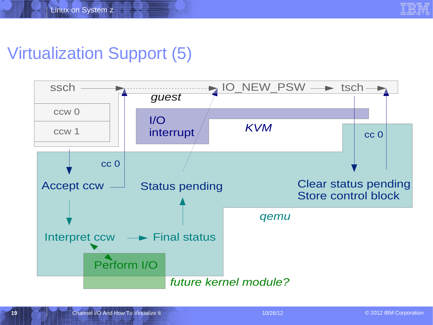## Virtualization Support (5)

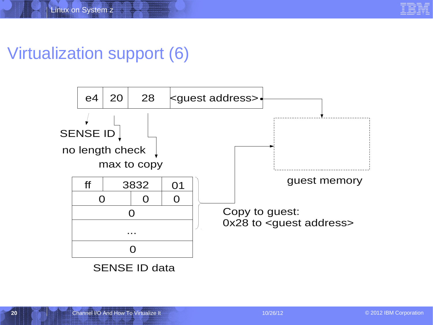# Virtualization support (6)

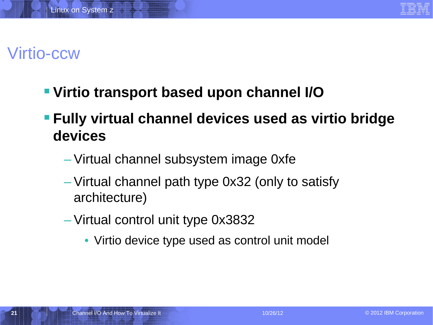

### Virtio-ccw

- **Virtio transport based upon channel I/O**
- **Fully virtual channel devices used as virtio bridge devices**
	- Virtual channel subsystem image 0xfe
	- Virtual channel path type 0x32 (only to satisfy architecture)
	- Virtual control unit type 0x3832
		- Virtio device type used as control unit model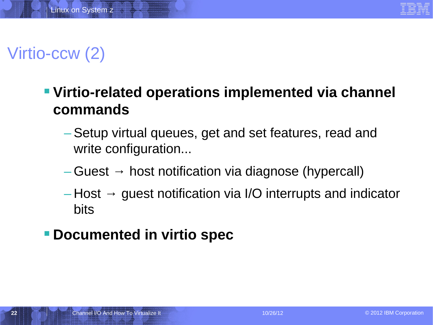

# Virtio-ccw (2)

### **Virtio-related operations implemented via channel commands**

- Setup virtual queues, get and set features, read and write configuration...
- $-$  Guest  $\rightarrow$  host notification via diagnose (hypercall)
- $-$  Host  $\rightarrow$  guest notification via I/O interrupts and indicator bits

#### **Documented in virtio spec**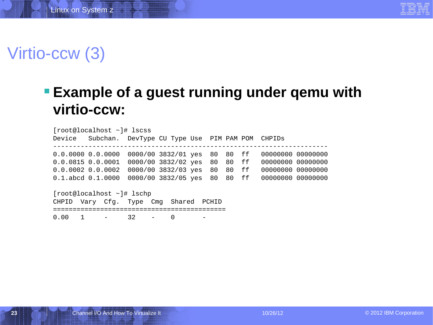

## Virtio-ccw (3)

#### **Example of a guest running under qemu with virtio-ccw:**

[root@localhost ~]# lscss Device Subchan. DevType CU Type Use PIM PAM POM CHPIDs ---------------------------------------------------------------------- 0.0.0000 0.0.0000 0000/00 3832/01 yes 80 80 ff 00000000 00000000 0.0.0815 0.0.0001 0000/00 3832/02 yes 80 80 ff 00000000 00000000 0.0.0002 0.0.0002 0000/00 3832/03 yes 80 80 ff 00000000 00000000 0.1.abcd 0.1.0000 0000/00 3832/05 yes 80 80 ff 00000000 00000000 [root@localhost ~]# lschp CHPID Vary Cfg. Type Cmg Shared PCHID

============================================

0.00 1 - 32 - 0 -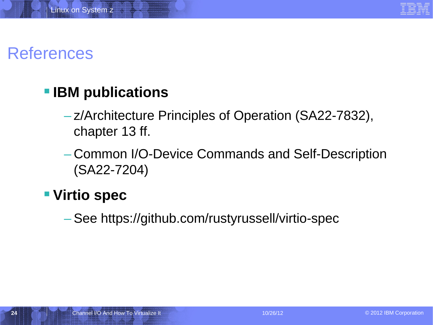

### References

### **IBM publications**

- z/Architecture Principles of Operation (SA22-7832), chapter 13 ff.
- Common I/O-Device Commands and Self-Description (SA22-7204)

#### **Virtio spec**

– See https://github.com/rustyrussell/virtio-spec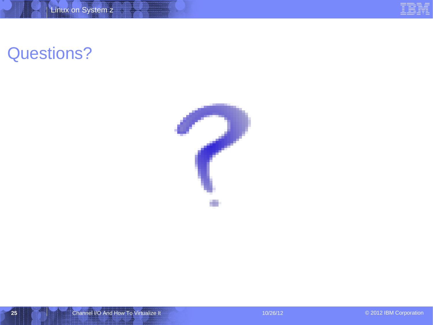# Questions?